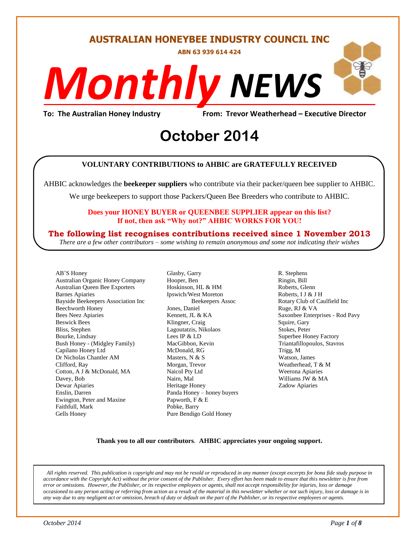#### **AUSTRALIAN HONEYBEE INDUSTRY COUNCIL INC**

**ABN 63 939 614 424**

# *NEWS Monthly*

**To: The Australian Honey Industry From: Trevor Weatherhead – Executive Director**

## From: Trevor Weather<br> **October** 2014

#### **VOLUNTARY CONTRIBUTIONS to AHBIC are GRATEFULLY RECEIVED**

AHBIC acknowledges the **beekeeper suppliers** who contribute via their packer/queen bee supplier to AHBIC.

We urge beekeepers to support those Packers/Queen Bee Breeders who contribute to AHBIC.

#### **Does your HONEY BUYER or QUEENBEE SUPPLIER appear on this list? If not, then ask "Why not?" AHBIC WORKS FOR YOU!**

#### **The following list recognises contributions received since 1 November 2013**

*There are a few other contributors – some wishing to remain anonymous and some not indicating their wishes*

AB'S Honey Australian Organic Honey Company Australian Queen Bee Exporters Barnes Apiaries Bayside Beekeepers Association Inc Beechworth Honey Bees Neez Apiaries Beswick Bees Bliss, Stephen Bourke, Lindsay Bush Honey - (Midgley Family) Capilano Honey Ltd Dr Nicholas Chantler AM Clifford, Ray Cotton, A J & McDonald, MA Davey, Bob Dewar Apiaries Enslin, Darren Ewington, Peter and Maxine Faithfull, Mark Gells Honey

Glasby, Garry Hooper, Ben Hoskinson, HL & HM Ipswich/West Moreton Beekeepers Assoc Jones, Daniel Kennett, JL & KA Klingner, Craig Lagoutatzis, Nikolaos Lees IP & LD MacGibbon, Kevin McDonald, RG Masters, N & S Morgan, Trevor Naicol Pty Ltd Nairn, Mal Heritage Honey Panda Honey – honey buyers Papworth, F & E Pobke, Barry Pure Bendigo Gold Honey

R. Stephens Ringin, Bill Roberts, Glenn Roberts, I J & J H Rotary Club of Caulfield Inc Ruge, RJ & VA Saxonbee Enterprises - Rod Pavy Squire, Gary Stokes, Peter Superbee Honey Factory Triantafillopoulos, Stavros Trigg, M Watson, James Weatherhead, T & M Weerona Apiaries Williams JW & MA Zadow Apiaries

#### **Thank you to all our contributors***.* **AHBIC appreciates your ongoing support.** .

*All rights reserved. This publication is copyright and may not be resold or reproduced in any manner (except excerpts for bona fide study purpose in accordance with the Copyright Act) without the prior consent of the Publisher. Every effort has been made to ensure that this newsletter is free from error or omissions. However, the Publisher, or its respective employees or agents, shall not accept responsibility for injuries, loss or damage occasioned to any person acting or referring from action as a result of the material in this newsletter whether or not such injury, loss or damage is in any way due to any negligent act or omission, breach of duty or default on the part of the Publisher, or its respective employees or agents.*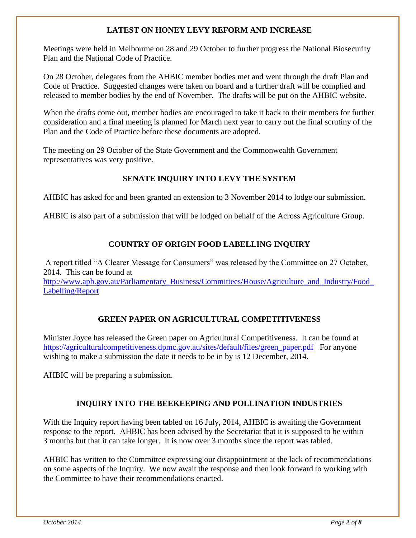#### **LATEST ON HONEY LEVY REFORM AND INCREASE**

Meetings were held in Melbourne on 28 and 29 October to further progress the National Biosecurity Plan and the National Code of Practice.

On 28 October, delegates from the AHBIC member bodies met and went through the draft Plan and Code of Practice. Suggested changes were taken on board and a further draft will be complied and released to member bodies by the end of November. The drafts will be put on the AHBIC website.

When the drafts come out, member bodies are encouraged to take it back to their members for further consideration and a final meeting is planned for March next year to carry out the final scrutiny of the Plan and the Code of Practice before these documents are adopted.

The meeting on 29 October of the State Government and the Commonwealth Government representatives was very positive.

#### **SENATE INQUIRY INTO LEVY THE SYSTEM**

AHBIC has asked for and been granted an extension to 3 November 2014 to lodge our submission.

AHBIC is also part of a submission that will be lodged on behalf of the Across Agriculture Group.

#### **COUNTRY OF ORIGIN FOOD LABELLING INQUIRY**

A report titled "A Clearer Message for Consumers" was released by the Committee on 27 October, 2014. This can be found at http://www.aph.gov.au/Parliamentary\_Business/Committees/House/Agriculture\_and\_Industry/Food [Labelling/Report](http://www.aph.gov.au/Parliamentary_Business/Committees/House/Agriculture_and_Industry/Food_Labelling/Report)

#### **GREEN PAPER ON AGRICULTURAL COMPETITIVENESS**

Minister Joyce has released the Green paper on Agricultural Competitiveness. It can be found at [https://agriculturalcompetitiveness.dpmc.gov.au/sites/default/files/green\\_paper.pdf](https://agriculturalcompetitiveness.dpmc.gov.au/sites/default/files/green_paper.pdf) For anyone wishing to make a submission the date it needs to be in by is 12 December, 2014.

AHBIC will be preparing a submission.

#### **INQUIRY INTO THE BEEKEEPING AND POLLINATION INDUSTRIES**

With the Inquiry report having been tabled on 16 July, 2014, AHBIC is awaiting the Government response to the report. AHBIC has been advised by the Secretariat that it is supposed to be within 3 months but that it can take longer. It is now over 3 months since the report was tabled.

AHBIC has written to the Committee expressing our disappointment at the lack of recommendations on some aspects of the Inquiry. We now await the response and then look forward to working with the Committee to have their recommendations enacted.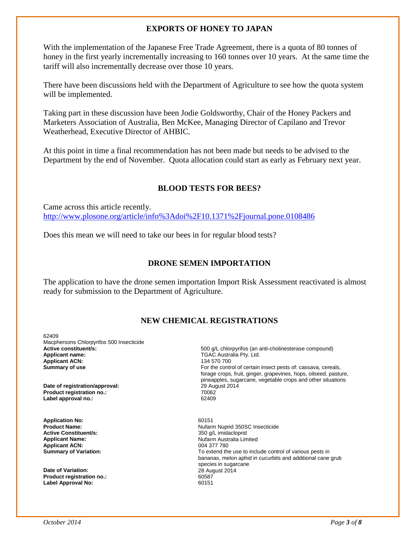#### **EXPORTS OF HONEY TO JAPAN**

With the implementation of the Japanese Free Trade Agreement, there is a quota of 80 tonnes of honey in the first yearly incrementally increasing to 160 tonnes over 10 years. At the same time the tariff will also incrementally decrease over those 10 years.

There have been discussions held with the Department of Agriculture to see how the quota system will be implemented.

Taking part in these discussion have been Jodie Goldsworthy, Chair of the Honey Packers and Marketers Association of Australia, Ben McKee, Managing Director of Capilano and Trevor Weatherhead, Executive Director of AHBIC.

At this point in time a final recommendation has not been made but needs to be advised to the Department by the end of November. Quota allocation could start as early as February next year.

#### **BLOOD TESTS FOR BEES?**

Came across this article recently. <http://www.plosone.org/article/info%3Adoi%2F10.1371%2Fjournal.pone.0108486>

Does this mean we will need to take our bees in for regular blood tests?

#### **DRONE SEMEN IMPORTATION**

The application to have the drone semen importation Import Risk Assessment reactivated is almost ready for submission to the Department of Agriculture.

#### **NEW CHEMICAL REGISTRATIONS**

62409 Macphersons Chlorpyrifos 500 Insecticide<br>Active constituent/s: **Applicant ACN:**<br>Summary of use

**Date of registration/approval: Product registration no.:**  Label approval no.:

**Application No: Product Name: Active Constituent/s: Applicant Name: Applicant ACN:** 004 377 780<br> **Summary of Variation:** Contract Contract Contract Contract Contract Contract Contract Contract Contract Contract Contract Contract Contract Contract Contract Contract Contract Contract Contra

**Date of Variation:** 28 August 2014 **Product registration no.:** 60587 **Label Approval No:** 

**Active constituent/s:** <br>**Applicant name:** <br>**Applicant name:** <br>**Applicant name:** <br>**Applicant name:** <br>**Applicant name:** <br>**Applicant name:** <br>**Applicant name:** <br>**Applicant name:** <br>**Applicant Applicant Applicant Applican** TGAC Australia Pty. Ltd.<br>134 570 700 For the control of certain insect pests of: cassava, cereals, forage crops, fruit, ginger, grapevines, hops, oilseed, pasture, pineapples, sugarcane, vegetable crops and other situations 29 August 2014 70062

> 60151 Nufarm Nuprid 350SC Insecticide 350 g/L imidacloprid Nufarm Australia Limited To extend the use to include control of various pests in bananas, melon aphid in cucurbits and additional cane grub species in sugarcane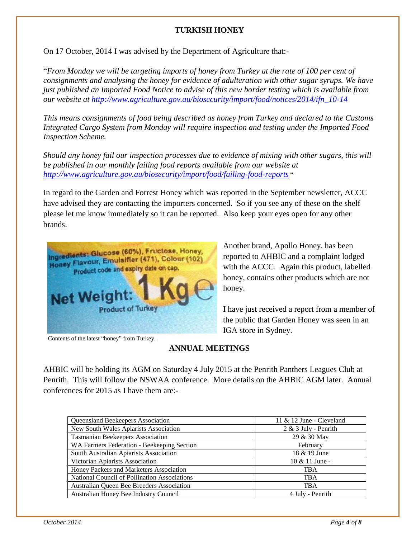#### **TURKISH HONEY**

On 17 October, 2014 I was advised by the Department of Agriculture that:-

"*From Monday we will be targeting imports of honey from Turkey at the rate of 100 per cent of consignments and analysing the honey for evidence of adulteration with other sugar syrups. We have just published an Imported Food Notice to advise of this new border testing which is available from our website at [http://www.agriculture.gov.au/biosecurity/import/food/notices/2014/ifn\\_10-14](http://www.agriculture.gov.au/biosecurity/import/food/notices/2014/ifn_10-14)*

*This means consignments of food being described as honey from Turkey and declared to the Customs Integrated Cargo System from Monday will require inspection and testing under the Imported Food Inspection Scheme.* 

*Should any honey fail our inspection processes due to evidence of mixing with other sugars, this will be published in our monthly failing food reports available from our website at <http://www.agriculture.gov.au/biosecurity/import/food/failing-food-reports>* "

In regard to the Garden and Forrest Honey which was reported in the September newsletter, ACCC have advised they are contacting the importers concerned. So if you see any of these on the shelf please let me know immediately so it can be reported. Also keep your eyes open for any other brands.



Contents of the latest "honey" from Turkey.

Another brand, Apollo Honey, has been reported to AHBIC and a complaint lodged with the ACCC. Again this product, labelled honey, contains other products which are not honey.

I have just received a report from a member of the public that Garden Honey was seen in an IGA store in Sydney.

#### **ANNUAL MEETINGS**

AHBIC will be holding its AGM on Saturday 4 July 2015 at the Penrith Panthers Leagues Club at Penrith. This will follow the NSWAA conference. More details on the AHBIC AGM later. Annual conferences for 2015 as I have them are:-

| Queensland Beekeepers Association                   | 11 $&$ 12 June - Cleveland |  |  |
|-----------------------------------------------------|----------------------------|--|--|
| New South Wales Apiarists Association               | $2 & 3$ July - Penrith     |  |  |
| <b>Tasmanian Beekeepers Association</b>             | 29 & 30 May                |  |  |
| WA Farmers Federation - Beekeeping Section          | February                   |  |  |
| South Australian Apiarists Association              | 18 & 19 June               |  |  |
| Victorian Apiarists Association                     | $10 \& 11$ June -          |  |  |
| Honey Packers and Marketers Association             | <b>TBA</b>                 |  |  |
| <b>National Council of Pollination Associations</b> | <b>TBA</b>                 |  |  |
| Australian Queen Bee Breeders Association           | <b>TBA</b>                 |  |  |
| Australian Honey Bee Industry Council               | 4 July - Penrith           |  |  |
|                                                     |                            |  |  |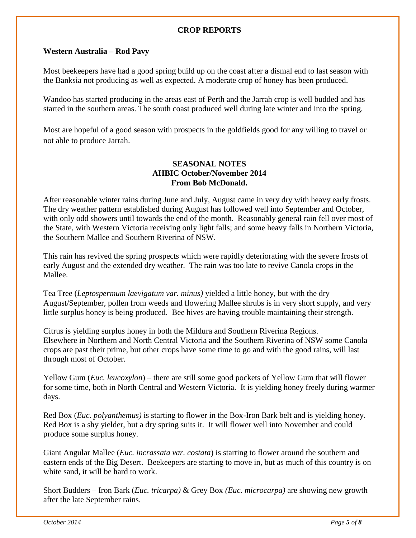#### **CROP REPORTS**

#### **Western Australia – Rod Pavy**

Most beekeepers have had a good spring build up on the coast after a dismal end to last season with the Banksia not producing as well as expected. A moderate crop of honey has been produced.

Wandoo has started producing in the areas east of Perth and the Jarrah crop is well budded and has started in the southern areas. The south coast produced well during late winter and into the spring.

Most are hopeful of a good season with prospects in the goldfields good for any willing to travel or not able to produce Jarrah.

#### **SEASONAL NOTES AHBIC October/November 2014 From Bob McDonald.**

After reasonable winter rains during June and July, August came in very dry with heavy early frosts. The dry weather pattern established during August has followed well into September and October, with only odd showers until towards the end of the month. Reasonably general rain fell over most of the State, with Western Victoria receiving only light falls; and some heavy falls in Northern Victoria, the Southern Mallee and Southern Riverina of NSW.

This rain has revived the spring prospects which were rapidly deteriorating with the severe frosts of early August and the extended dry weather. The rain was too late to revive Canola crops in the Mallee.

Tea Tree (*Leptospermum laevigatum var. minus)* yielded a little honey, but with the dry August/September, pollen from weeds and flowering Mallee shrubs is in very short supply, and very little surplus honey is being produced. Bee hives are having trouble maintaining their strength.

Citrus is yielding surplus honey in both the Mildura and Southern Riverina Regions. Elsewhere in Northern and North Central Victoria and the Southern Riverina of NSW some Canola crops are past their prime, but other crops have some time to go and with the good rains, will last through most of October.

Yellow Gum (*Euc. leucoxylon*) – there are still some good pockets of Yellow Gum that will flower for some time, both in North Central and Western Victoria. It is yielding honey freely during warmer days.

Red Box (*Euc. polyanthemus)* is starting to flower in the Box-Iron Bark belt and is yielding honey. Red Box is a shy yielder, but a dry spring suits it. It will flower well into November and could produce some surplus honey.

Giant Angular Mallee (*Euc. incrassata var. costata*) is starting to flower around the southern and eastern ends of the Big Desert. Beekeepers are starting to move in, but as much of this country is on white sand, it will be hard to work.

Short Budders – Iron Bark (*Euc. tricarpa)* & Grey Box *(Euc. microcarpa)* are showing new growth after the late September rains.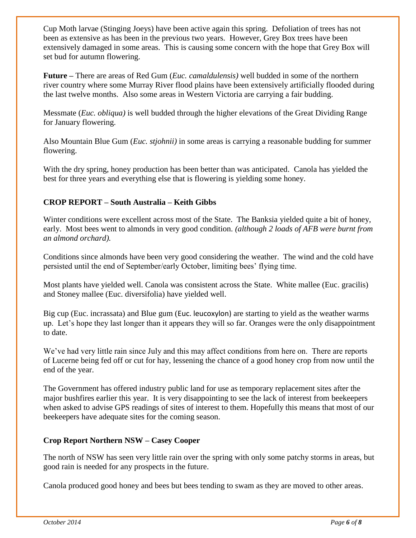Cup Moth larvae (Stinging Joeys) have been active again this spring. Defoliation of trees has not been as extensive as has been in the previous two years. However, Grey Box trees have been extensively damaged in some areas. This is causing some concern with the hope that Grey Box will set bud for autumn flowering.

**Future –** There are areas of Red Gum (*Euc. camaldulensis)* well budded in some of the northern river country where some Murray River flood plains have been extensively artificially flooded during the last twelve months. Also some areas in Western Victoria are carrying a fair budding.

Messmate (*Euc. obliqua)* is well budded through the higher elevations of the Great Dividing Range for January flowering.

Also Mountain Blue Gum (*Euc. stjohnii)* in some areas is carrying a reasonable budding for summer flowering.

With the dry spring, honey production has been better than was anticipated. Canola has yielded the best for three years and everything else that is flowering is yielding some honey.

#### **CROP REPORT – South Australia – Keith Gibbs**

Winter conditions were excellent across most of the State. The Banksia yielded quite a bit of honey, early. Most bees went to almonds in very good condition. *(although 2 loads of AFB were burnt from an almond orchard).*

Conditions since almonds have been very good considering the weather. The wind and the cold have persisted until the end of September/early October, limiting bees' flying time.

Most plants have yielded well. Canola was consistent across the State. White mallee (Euc. gracilis) and Stoney mallee (Euc. diversifolia) have yielded well.

Big cup (Euc. incrassata) and Blue gum (Euc. leucoxylon) are starting to yield as the weather warms up. Let's hope they last longer than it appears they will so far. Oranges were the only disappointment to date.

We've had very little rain since July and this may affect conditions from here on. There are reports of Lucerne being fed off or cut for hay, lessening the chance of a good honey crop from now until the end of the year.

The Government has offered industry public land for use as temporary replacement sites after the major bushfires earlier this year. It is very disappointing to see the lack of interest from beekeepers when asked to advise GPS readings of sites of interest to them. Hopefully this means that most of our beekeepers have adequate sites for the coming season.

#### **Crop Report Northern NSW – Casey Cooper**

The north of NSW has seen very little rain over the spring with only some patchy storms in areas, but good rain is needed for any prospects in the future.

Canola produced good honey and bees but bees tending to swam as they are moved to other areas.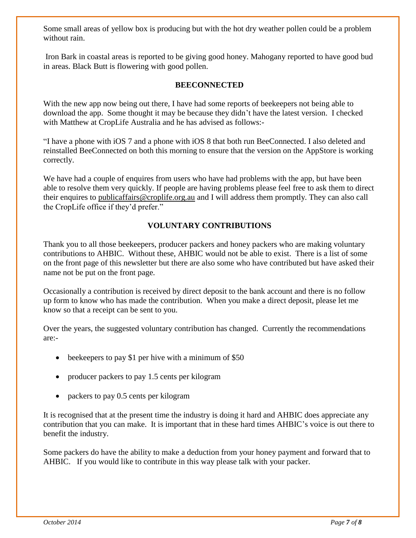Some small areas of yellow box is producing but with the hot dry weather pollen could be a problem without rain.

Iron Bark in coastal areas is reported to be giving good honey. Mahogany reported to have good bud in areas. Black Butt is flowering with good pollen.

#### **BEECONNECTED**

With the new app now being out there, I have had some reports of beekeepers not being able to download the app. Some thought it may be because they didn't have the latest version. I checked with Matthew at CropLife Australia and he has advised as follows:-

"I have a phone with iOS 7 and a phone with iOS 8 that both run BeeConnected. I also deleted and reinstalled BeeConnected on both this morning to ensure that the version on the AppStore is working correctly.

We have had a couple of enquires from users who have had problems with the app, but have been able to resolve them very quickly. If people are having problems please feel free to ask them to direct their enquires to [publicaffairs@croplife.org.au](mailto:publicaffairs@croplife.org.au) and I will address them promptly. They can also call the CropLife office if they'd prefer."

#### **VOLUNTARY CONTRIBUTIONS**

Thank you to all those beekeepers, producer packers and honey packers who are making voluntary contributions to AHBIC. Without these, AHBIC would not be able to exist. There is a list of some on the front page of this newsletter but there are also some who have contributed but have asked their name not be put on the front page.

Occasionally a contribution is received by direct deposit to the bank account and there is no follow up form to know who has made the contribution. When you make a direct deposit, please let me know so that a receipt can be sent to you.

Over the years, the suggested voluntary contribution has changed. Currently the recommendations are:-

- beekeepers to pay \$1 per hive with a minimum of \$50
- producer packers to pay 1.5 cents per kilogram
- packers to pay 0.5 cents per kilogram

It is recognised that at the present time the industry is doing it hard and AHBIC does appreciate any contribution that you can make. It is important that in these hard times AHBIC's voice is out there to benefit the industry.

Some packers do have the ability to make a deduction from your honey payment and forward that to AHBIC. If you would like to contribute in this way please talk with your packer.